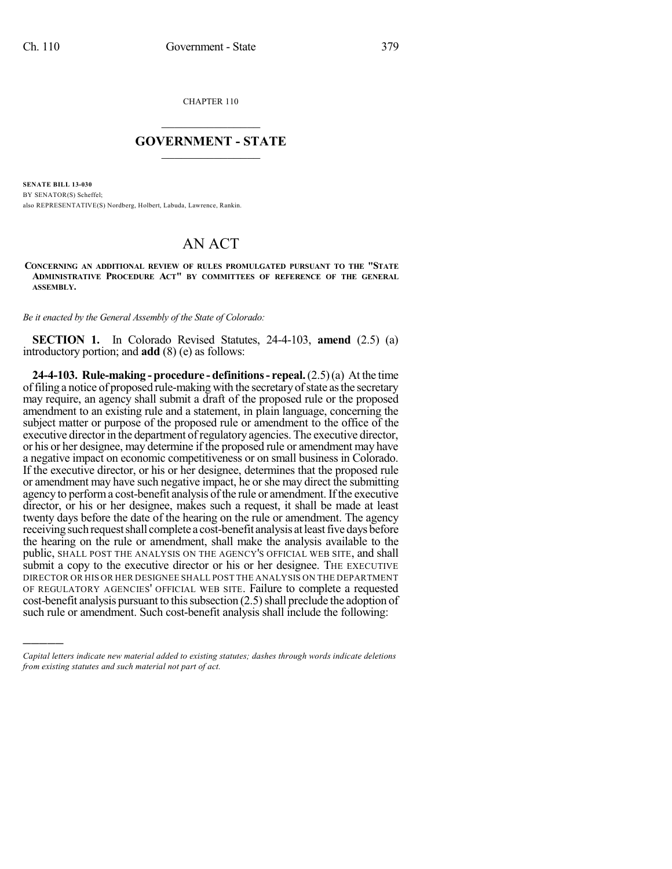)))))

CHAPTER 110

## $\mathcal{L}_\text{max}$  . The set of the set of the set of the set of the set of the set of the set of the set of the set of the set of the set of the set of the set of the set of the set of the set of the set of the set of the set **GOVERNMENT - STATE**  $\_$   $\_$   $\_$   $\_$   $\_$   $\_$   $\_$   $\_$   $\_$

**SENATE BILL 13-030** BY SENATOR(S) Scheffel; also REPRESENTATIVE(S) Nordberg, Holbert, Labuda, Lawrence, Rankin.

## AN ACT

**CONCERNING AN ADDITIONAL REVIEW OF RULES PROMULGATED PURSUANT TO THE "STATE ADMINISTRATIVE PROCEDURE ACT" BY COMMITTEES OF REFERENCE OF THE GENERAL ASSEMBLY.**

*Be it enacted by the General Assembly of the State of Colorado:*

**SECTION 1.** In Colorado Revised Statutes, 24-4-103, **amend** (2.5) (a) introductory portion; and **add** (8) (e) as follows:

**24-4-103. Rule-making - procedure - definitions- repeal.**(2.5)(a) At the time offiling a notice of proposed rule-making with the secretaryofstate asthe secretary may require, an agency shall submit a draft of the proposed rule or the proposed amendment to an existing rule and a statement, in plain language, concerning the subject matter or purpose of the proposed rule or amendment to the office of the executive director in the department of regulatory agencies. The executive director, or his or her designee, may determine if the proposed rule or amendment may have a negative impact on economic competitiveness or on small business in Colorado. If the executive director, or his or her designee, determines that the proposed rule or amendment may have such negative impact, he orshe may direct the submitting agency to perform a cost-benefit analysis of the rule or amendment. If the executive director, or his or her designee, makes such a request, it shall be made at least twenty days before the date of the hearing on the rule or amendment. The agency receiving such request shall complete a cost-benefit analysis at least five days before the hearing on the rule or amendment, shall make the analysis available to the public, SHALL POST THE ANALYSIS ON THE AGENCY'S OFFICIAL WEB SITE, and shall submit a copy to the executive director or his or her designee. The EXECUTIVE DIRECTOR OR HIS OR HER DESIGNEE SHALL POST THE ANALYSIS ON THE DEPARTMENT OF REGULATORY AGENCIES' OFFICIAL WEB SITE. Failure to complete a requested  $cost$ -benefit analysis pursuant to this subsection  $(2.5)$  shall preclude the adoption of such rule or amendment. Such cost-benefit analysis shall include the following:

*Capital letters indicate new material added to existing statutes; dashes through words indicate deletions from existing statutes and such material not part of act.*